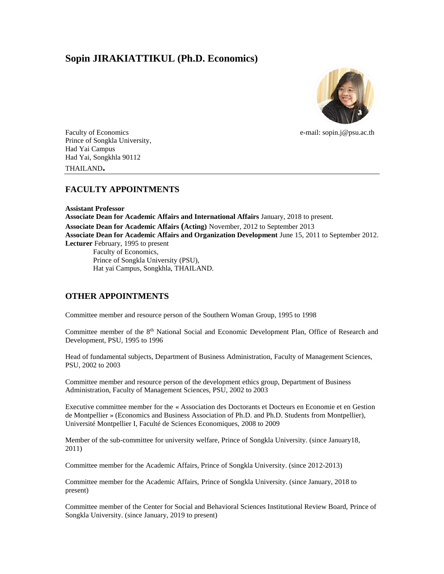# **Sopin JIRAKIATTIKUL (Ph.D. Economics)**



Faculty of Economics e-mail: sopin.j@psu.ac.th Prince of Songkla University, Had Yai Campus Had Yai, Songkhla 90112 THAILAND**.**

## **FACULTY APPOINTMENTS**

**Assistant Professor Associate Dean for Academic Affairs and International Affairs** January, 2018 to present. **Associate Dean for Academic Affairs (Acting)** November, 2012 to September 2013 **Associate Dean for Academic Affairs and Organization Development** June 15, 2011 to September 2012. **Lecturer** February, 1995 to present Faculty of Economics, Prince of Songkla University (PSU), Hat yai Campus, Songkhla, THAILAND.

## **OTHER APPOINTMENTS**

Committee member and resource person of the Southern Woman Group, 1995 to 1998

Committee member of the 8<sup>th</sup> National Social and Economic Development Plan, Office of Research and Development, PSU, 1995 to 1996

Head of fundamental subjects, Department of Business Administration, Faculty of Management Sciences, PSU, 2002 to 2003

Committee member and resource person of the development ethics group, Department of Business Administration, Faculty of Management Sciences, PSU, 2002 to 2003

Executive committee member for the « Association des Doctorants et Docteurs en Economie et en Gestion de Montpellier » (Economics and Business Association of Ph.D. and Ph.D. Students from Montpellier), Université Montpellier I, Faculté de Sciences Economiques, 2008 to 2009

Member of the sub-committee for university welfare, Prince of Songkla University. (since January18, 2011)

Committee member for the Academic Affairs, Prince of Songkla University. (since 2012-2013)

Committee member for the Academic Affairs, Prince of Songkla University. (since January, 2018 to present)

Committee member of the Center for Social and Behavioral Sciences Institutional Review Board, Prince of Songkla University. (since January, 2019 to present)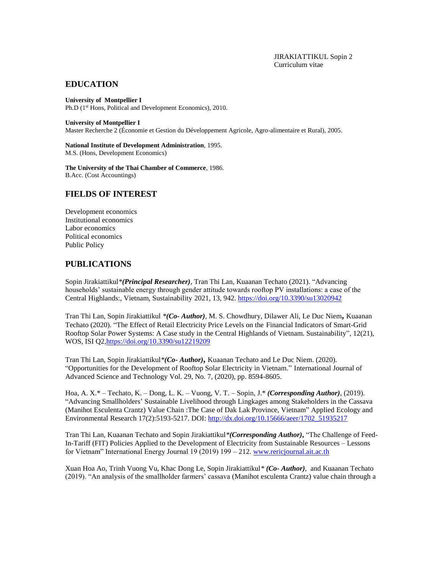#### **EDUCATION**

**University of Montpellier I**  Ph.D (1<sup>st</sup> Hons, Political and Development Economics), 2010.

**University of Montpellier I** 

Master Recherche 2 (Économie et Gestion du Développement Agricole, Agro-alimentaire et Rural), 2005.

**National Institute of Development Administration**, 1995. M.S. (Hons, Development Economics)

**The University of the Thai Chamber of Commerce**, 1986. B.Acc. (Cost Accountings)

### **FIELDS OF INTEREST**

Development economics Institutional economics Labor economics Political economics Public Policy

### **PUBLICATIONS**

Sopin Jirakiattikul*\*(Principal Researcher),* Tran Thi Lan, Kuaanan Techato (2021). "Advancing households' sustainable energy through gender attitude towards rooftop PV installations: a case of the Central Highlands:, Vietnam, Sustainability 2021, 13, 942.<https://doi.org/10.3390/su13020942>

Tran Thi Lan, Sopin Jirakiattikul *\*(Co- Author)*, M. S. Chowdhury, Dilawer Ali, Le Duc Niem**,** Kuaanan Techato (2020). "The Effect of Retail Electricity Price Levels on the Financial Indicators of Smart-Grid Rooftop Solar Power Systems: A Case study in the Central Highlands of Vietnam. Sustainability", 12(21), WOS, ISI Q[2,https://doi.org/10.3390/su12219209](https://doi.org/10.3390/su12219209)

Tran Thi Lan, Sopin Jirakiattikul*\*(Co- Author)***,** Kuaanan Techato and Le Duc Niem. (2020). "Opportunities for the Development of Rooftop Solar Electricity in Vietnam." International Journal of Advanced Science and Technology Vol. 29, No. 7, (2020), pp. 8594-8605.

Hoa, A. X.\* – Techato, K. – Dong, L. K. – Vuong, V. T. – Sopin, J.\* *(Corresponding Author)*, (2019). "Advancing Smallholders' Sustainable Livelihood through Lingkages among Stakeholders in the Cassava (Manihot Esculenta Crantz) Value Chain :The Case of Dak Lak Province, Vietnam" Applied Ecology and Environmental Research 17(2):5193-5217. DOI: [http://dx.doi.org/10.15666/aeer/1702\\_51935217](http://dx.doi.org/10.15666/aeer/1702_51935217)

Tran Thi Lan, Kuaanan Techato and Sopin Jirakiattikul*\*(Corresponding Author)***,** "The Challenge of Feed-In-Tariff (FIT) Policies Applied to the Development of Electricity from Sustainable Resources – Lessons for Vietnam" International Energy Journal 19 (2019) 199 – 212. [www.rericjournal.ait.ac.th](http://www.rericjournal.ait.ac.th/)

Xuan Hoa Ao, Trinh Vuong Vu, Khac Dong Le, Sopin Jirakiattikul*\* (Co- Author)*, and Kuaanan Techato (2019). "An analysis of the smallholder farmers' cassava (Manihot esculenta Crantz) value chain through a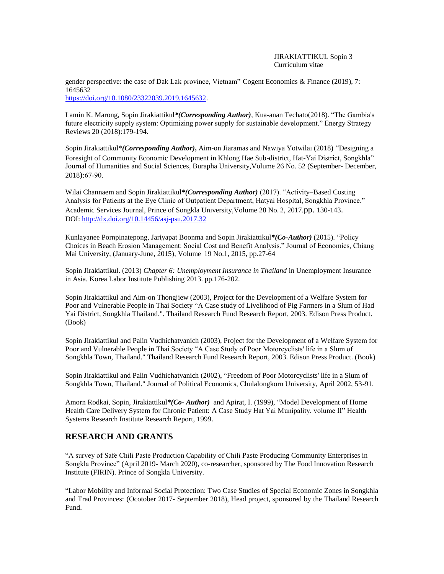#### JIRAKIATTIKUL Sopin 3 Curriculum vitae

gender perspective: the case of Dak Lak province, Vietnam" Cogent Economics & Finance (2019), 7: 1645632 [https://doi.org/10.1080/23322039.2019.1645632.](https://doi.org/10.1080/23322039.2019.1645632)

Lamin K. Marong, Sopin Jirakiattikul*\*(Corresponding Author)*, Kua-anan Techato(2018). "The Gambia's future electricity supply system: Optimizing power supply for sustainable development." Energy Strategy Reviews 20 (2018):179-194.

Sopin Jirakiattikul*\*(Corresponding Author)***,** Aim-on Jiaramas and Nawiya Yotwilai (2018). "Designing a Foresight of Community Economic Development in Khlong Hae Sub-district, Hat-Yai District, Songkhla" Journal of Humanities and Social Sciences, Burapha University,Volume 26 No. 52 (September- December, 2018):67-90.

Wilai Channaem and Sopin Jirakiattikul*\*(Corresponding Author)* (2017). "Activity–Based Costing Analysis for Patients at the Eye Clinic of Outpatient Department, Hatyai Hospital, Songkhla Province." Academic Services Journal, Prince of Songkla University,Volume 28 No. 2, 2017.pp. 130-143. DOI:<http://dx.doi.org/10.14456/asj-psu.2017.32>

Kunlayanee Pornpinatepong, Jariyapat Boonma and Sopin Jirakiattikul*\*(Co-Author)* (2015). "Policy Choices in Beach Erosion Management: Social Cost and Benefit Analysis." Journal of Economics, Chiang Mai University, (January-June, 2015), Volume 19 No.1, 2015, pp.27-64

Sopin Jirakiattikul. (2013) *Chapter 6: Unemployment Insurance in Thailand* in Unemployment Insurance in Asia. Korea Labor Institute Publishing 2013. pp.176-202.

Sopin Jirakiattikul and Aim-on Thongjiew (2003), Project for the Development of a Welfare System for Poor and Vulnerable People in Thai Society "A Case study of Livelihood of Pig Farmers in a Slum of Had Yai District, Songkhla Thailand.". Thailand Research Fund Research Report, 2003. Edison Press Product. (Book)

Sopin Jirakiattikul and Palin Vudhichatvanich (2003), Project for the Development of a Welfare System for Poor and Vulnerable People in Thai Society "A Case Study of Poor Motorcyclists' life in a Slum of Songkhla Town, Thailand." Thailand Research Fund Research Report, 2003. Edison Press Product. (Book)

Sopin Jirakiattikul and Palin Vudhichatvanich (2002), "Freedom of Poor Motorcyclists' life in a Slum of Songkhla Town, Thailand." Journal of Political Economics, Chulalongkorn University, April 2002, 53-91.

Amorn Rodkai, Sopin, Jirakiattikul*\*(Co- Author)* and Apirat, I. (1999), "Model Development of Home Health Care Delivery System for Chronic Patient: A Case Study Hat Yai Munipality, volume II" Health Systems Research Institute Research Report, 1999.

## **RESEARCH AND GRANTS**

"A survey of Safe Chili Paste Production Capability of Chili Paste Producing Community Enterprises in Songkla Province" (April 2019- March 2020), co-researcher, sponsored by The Food Innovation Research Institute (FIRIN). Prince of Songkla University.

"Labor Mobility and Informal Social Protection: Two Case Studies of Special Economic Zones in Songkhla and Trad Provinces: (Ocotober 2017- September 2018), Head project, sponsored by the Thailand Research Fund.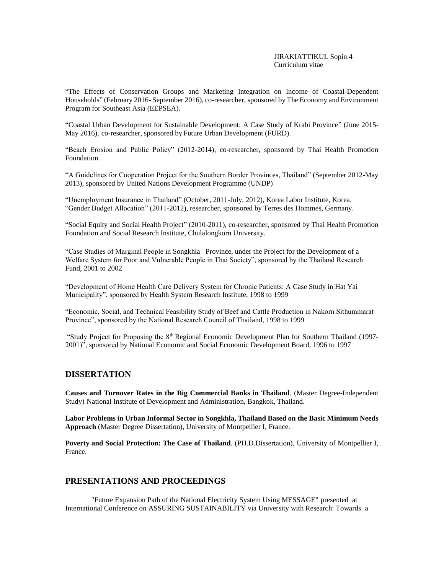"The Effects of Conservation Groups and Marketing Integration on Income of Coastal-Dependent Households" (February 2016- September 2016), co-researcher, sponsored by The Economy and Environment Program for Southeast Asia (EEPSEA).

"Coastal Urban Development for Sustainable Development: A Case Study of Krabi Province" (June 2015- May 2016), co-researcher, sponsored by Future Urban Development (FURD).

"Beach Erosion and Public Policy" (2012-2014), co-researcher, sponsored by Thai Health Promotion Foundation.

"A Guidelines for Cooperation Project for the Southern Border Provinces, Thailand" (September 2012-May 2013), sponsored by United Nations Development Programme (UNDP)

"Unemployment Insurance in Thailand" (October, 2011-July, 2012), Korea Labor Institute, Korea. "Gender Budget Allocation" (2011-2012), researcher, sponsored by Terres des Hommes, Germany.

"Social Equity and Social Health Project" (2010-2011), co-researcher, sponsored by Thai Health Promotion Foundation and Social Research Institute, Chulalongkorn University.

"Case Studies of Marginal People in Songkhla Province, under the Project for the Development of a Welfare System for Poor and Vulnerable People in Thai Society", sponsored by the Thailand Research Fund, 2001 to 2002

"Development of Home Health Care Delivery System for Chronic Patients: A Case Study in Hat Yai Municipality", sponsored by Health System Research Institute, 1998 to 1999

"Economic, Social, and Technical Feasibility Study of Beef and Cattle Production in Nakorn Sithummarat Province", sponsored by the National Research Council of Thailand, 1998 to 1999

"Study Project for Proposing the 8th Regional Economic Development Plan for Southern Thailand (1997- 2001)", sponsored by National Economic and Social Economic Development Board, 1996 to 1997

### **DISSERTATION**

**Causes and Turnover Rates in the Big Commercial Banks in Thailand**. (Master Degree-Independent Study) National Institute of Development and Administration, Bangkok, Thailand.

**Labor Problems in Urban Informal Sector in Songkhla, Thailand Based on the Basic Minimum Needs Approach** (Master Degree Dissertation), University of Montpellier I, France.

**Poverty and Social Protection: The Case of Thailand**. (PH.D.Dissertation), University of Montpellier I, France.

#### **PRESENTATIONS AND PROCEEDINGS**

"Future Expansion Path of the National Electricity System Using MESSAGE" presented at International Conference on ASSURING SUSTAINABILITY via University with Research: Towards a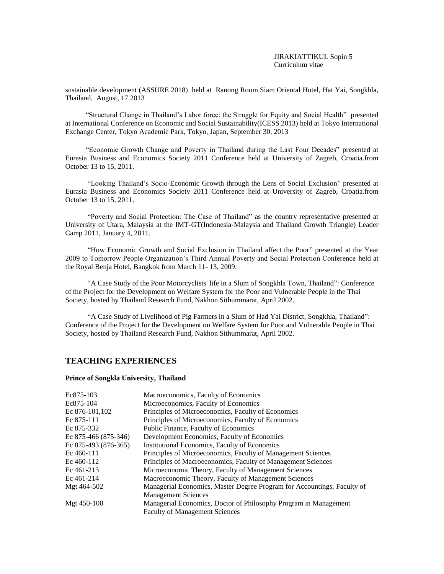sustainable development (ASSURE 2018) held at Ranong Room Siam Oriental Hotel, Hat Yai, Songkhla, Thailand, August, 17 2013

"Structural Change in Thailand's Labor force: the Struggle for Equity and Social Health" presented at International Conference on Economic and Social Sustainability(ICESS 2013) held at Tokyo International Exchange Center, Tokyo Academic Park, Tokyo, Japan, September 30, 2013

"Economic Growth Change and Poverty in Thailand during the Last Four Decades" presented at Eurasia Business and Economics Society 2011 Conference held at University of Zagreb, Croatia.from October 13 to 15, 2011.

"Looking Thailand's Socio-Economic Growth through the Lens of Social Exclusion" presented at Eurasia Business and Economics Society 2011 Conference held at University of Zagreb, Croatia.from October 13 to 15, 2011.

"Poverty and Social Protection: The Case of Thailand" as the country representative presented at University of Utara, Malaysia at the IMT-GT(Indonesia-Malaysia and Thailand Growth Triangle) Leader Camp 2011, January 4, 2011.

"How Economic Growth and Social Exclusion in Thailand affect the Poor" presented at the Year 2009 to Tomorrow People Organization's Third Annual Poverty and Social Protection Conference held at the Royal Benja Hotel, Bangkok from March 11- 13, 2009.

"A Case Study of the Poor Motorcyclists' life in a Slum of Songkhla Town, Thailand": Conference of the Project for the Development on Welfare System for the Poor and Vulnerable People in the Thai Society, hosted by Thailand Research Fund, Nakhon Sithummarat, April 2002.

"A Case Study of Livelihood of Pig Farmers in a Slum of Had Yai District, Songkhla, Thailand": Conference of the Project for the Development on Welfare System for Poor and Vulnerable People in Thai Society, hosted by Thailand Research Fund, Nakhon Sithummarat, April 2002.

#### **TEACHING EXPERIENCES**

#### **Prince of Songkla University, Thailand**

| Ec875-103            | Macroeconomics, Faculty of Economics                                    |
|----------------------|-------------------------------------------------------------------------|
| Ec875-104            | Microeconomics, Faculty of Economics                                    |
| Ec 876-101,102       | Principles of Microeconomics, Faculty of Economics                      |
| Ec 875-111           | Principles of Microeconomics, Faculty of Economics                      |
| Ec 875-332           | Public Finance, Faculty of Economics                                    |
| Ec 875-466 (875-346) | Development Economics, Faculty of Economics                             |
| Ec 875-493 (876-365) | Institutional Economics, Faculty of Economics                           |
| Ec 460-111           | Principles of Microeconomics, Faculty of Management Sciences            |
| Ec 460-112           | Principles of Macroeconomics, Faculty of Management Sciences            |
| Ec 461-213           | Microeconomic Theory, Faculty of Management Sciences                    |
| Ec 461-214           | Macroeconomic Theory, Faculty of Management Sciences                    |
| Mgt 464-502          | Managerial Economics, Master Degree Program for Accountings, Faculty of |
|                      | <b>Management Sciences</b>                                              |
| Mgt 450-100          | Managerial Economics, Doctor of Philosophy Program in Management        |
|                      | <b>Faculty of Management Sciences</b>                                   |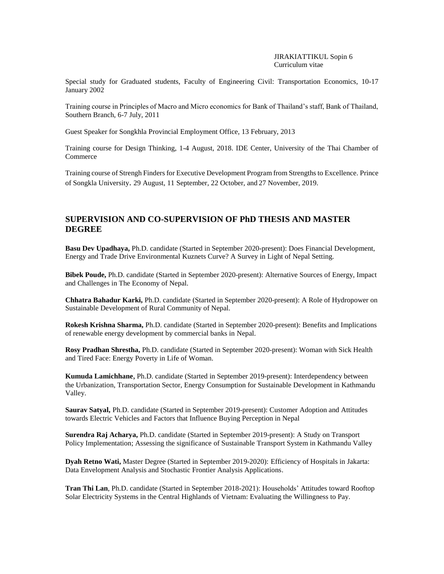Special study for Graduated students, Faculty of Engineering Civil: Transportation Economics, 10-17 January 2002

Training course in Principles of Macro and Micro economics for Bank of Thailand's staff, Bank of Thailand, Southern Branch, 6-7 July, 2011

Guest Speaker for Songkhla Provincial Employment Office, 13 February, 2013

Training course for Design Thinking, 1-4 August, 2018. IDE Center, University of the Thai Chamber of Commerce

Training course of Strengh Finders for Executive Development Program from Strengths to Excellence. Prince of Songkla University. 29 August, 11 September, 22 October, and 27 November, 2019.

## **SUPERVISION AND CO-SUPERVISION OF PhD THESIS AND MASTER DEGREE**

**Basu Dev Upadhaya,** Ph.D. candidate (Started in September 2020-present): Does Financial Development, Energy and Trade Drive Environmental Kuznets Curve? A Survey in Light of Nepal Setting.

**Bibek Poude,** Ph.D. candidate (Started in September 2020-present): Alternative Sources of Energy, Impact and Challenges in The Economy of Nepal.

**Chhatra Bahadur Karki,** Ph.D. candidate (Started in September 2020-present): A Role of Hydropower on Sustainable Development of Rural Community of Nepal.

**Rokesh Krishna Sharma,** Ph.D. candidate (Started in September 2020-present): Benefits and Implications of renewable energy development by commercial banks in Nepal.

**Rosy Pradhan Shrestha,** Ph.D. candidate (Started in September 2020-present): Woman with Sick Health and Tired Face: Energy Poverty in Life of Woman.

**Kumuda Lamichhane**, Ph.D. candidate (Started in September 2019-present): Interdependency between the Urbanization, Transportation Sector, Energy Consumption for Sustainable Development in Kathmandu Valley.

**Saurav Satyal,** Ph.D. candidate (Started in September 2019-present): Customer Adoption and Attitudes towards Electric Vehicles and Factors that Influence Buying Perception in Nepal

**Surendra Raj Acharya,** Ph.D. candidate (Started in September 2019-present): A Study on Transport Policy Implementation; Assessing the significance of Sustainable Transport System in Kathmandu Valley

**Dyah Retno Wati,** Master Degree (Started in September 2019-2020): Efficiency of Hospitals in Jakarta: Data Envelopment Analysis and Stochastic Frontier Analysis Applications.

**Tran Thi Lan**, Ph.D. candidate (Started in September 2018-2021): Households' Attitudes toward Rooftop Solar Electricity Systems in the Central Highlands of Vietnam: Evaluating the Willingness to Pay.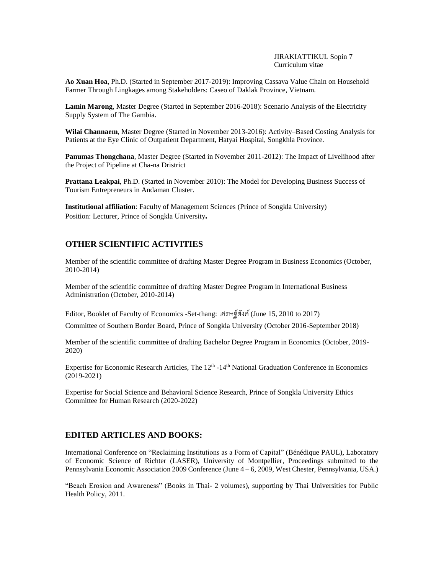JIRAKIATTIKUL Sopin 7 Curriculum vitae

**Ao Xuan Hoa**, Ph.D. (Started in September 2017-2019): Improving Cassava Value Chain on Household Farmer Through Lingkages among Stakeholders: Caseo of Daklak Province, Vietnam.

**Lamin Marong**, Master Degree (Started in September 2016-2018): Scenario Analysis of the Electricity Supply System of The Gambia.

**Wilai Channaem**, Master Degree (Started in November 2013-2016): Activity–Based Costing Analysis for Patients at the Eye Clinic of Outpatient Department, Hatyai Hospital, Songkhla Province.

**Panumas Thongchana**, Master Degree (Started in November 2011-2012): The Impact of Livelihood after the Project of Pipeline at Cha-na Dristrict

**Prattana Leakpai**, Ph.D. (Started in November 2010): The Model for Developing Business Success of Tourism Entrepreneurs in Andaman Cluster.

**Institutional affiliation**: Faculty of Management Sciences (Prince of Songkla University) Position: Lecturer, Prince of Songkla University**.**

### **OTHER SCIENTIFIC ACTIVITIES**

Member of the scientific committee of drafting Master Degree Program in Business Economics (October, 2010-2014)

Member of the scientific committee of drafting Master Degree Program in International Business Administration (October, 2010-2014)

Editor, Booklet of Faculty of Economics -Set-thang: เศรษฐ์ตังค์(June 15, 2010 to 2017)

Committee of Southern Border Board, Prince of Songkla University (October 2016-September 2018)

Member of the scientific committee of drafting Bachelor Degree Program in Economics (October, 2019- 2020)

Expertise for Economic Research Articles, The 12<sup>th</sup> -14<sup>th</sup> National Graduation Conference in Economics (2019-2021)

Expertise for Social Science and Behavioral Science Research, Prince of Songkla University Ethics Committee for Human Research (2020-2022)

#### **EDITED ARTICLES AND BOOKS:**

International Conference on "Reclaiming Institutions as a Form of Capital" (Bénédique PAUL), Laboratory of Economic Science of Richter (LASER), University of Montpellier, Proceedings submitted to the Pennsylvania Economic Association 2009 Conference (June 4 – 6, 2009, West Chester, Pennsylvania, USA.)

"Beach Erosion and Awareness" (Books in Thai- 2 volumes), supporting by Thai Universities for Public Health Policy, 2011.